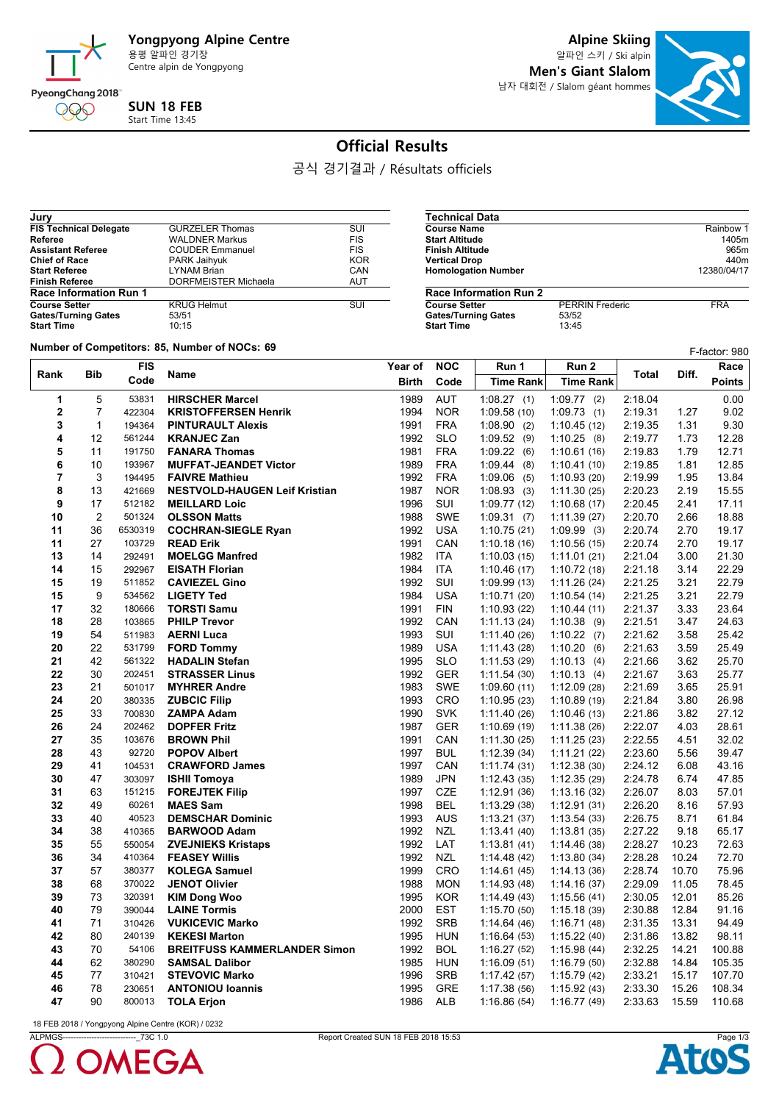

**Alpine Skiing**

알파인 스키 / Ski alpin **Men's Giant Slalom** 남자 대회전 / Slalom géant hommes

**Course Name** Rainbow 1<br> **Course Name** Rainbow 1<br> **Course Name** 1405m **Start Altitude 1405m<br>
<b>Start Altitude 1405m**<br> **Finish Altitude** 965m **Finish Altitude** 965m<br> **Partical Drop**<br>
9640m<br>
9640m **Vertical Drop** 440m<br> **Homologation Number** 12380/04/17

**PERRIN Frederic FRA**<br>53/52<br>13:45



## **Official Results**

공식 경기결과 / Résultats officiels

**Technical Data**

**Homologation Number** 

**Gates/Turning Gates Start Time** 

**Race Information Run 2**

| Jury                          |                        |            |
|-------------------------------|------------------------|------------|
| <b>FIS Technical Delegate</b> | <b>GURZELER Thomas</b> | SUI        |
| Referee                       | <b>WALDNER Markus</b>  | <b>FIS</b> |
| <b>Assistant Referee</b>      | <b>COUDER Emmanuel</b> | <b>FIS</b> |
| <b>Chief of Race</b>          | PARK Jaihyuk           | <b>KOR</b> |
| <b>Start Referee</b>          | <b>LYNAM Brian</b>     | CAN        |
| <b>Finish Referee</b>         | DORFMEISTER Michaela   | <b>AUT</b> |
| <b>Race Information Run 1</b> |                        |            |
| <b>Course Setter</b>          | <b>KRUG Helmut</b>     | SUI        |
| <b>Gates/Turning Gates</b>    | 53/51                  |            |
| <b>Start Time</b>             | 10:15                  |            |

**Number of Competitors: 85, Number of NOCs: 69** F-factor: 980 F-factor: 980 F-factor: 980 F-factor: 980 F-factor: 980

|                |                |            |                                      |         |            |                  |                  |         |       | F-factor: 980 |
|----------------|----------------|------------|--------------------------------------|---------|------------|------------------|------------------|---------|-------|---------------|
| Rank           | <b>Bib</b>     | <b>FIS</b> | Name                                 | Year of | <b>NOC</b> | Run 1            | Run 2            | Total   | Diff. | Race          |
|                |                | Code       |                                      | Birth   | Code       | <b>Time Rank</b> | <b>Time Rank</b> |         |       | <b>Points</b> |
| 1              | 5              | 53831      | <b>HIRSCHER Marcel</b>               | 1989    | <b>AUT</b> | 1:08.27(1)       | $1:09.77$ (2)    | 2:18.04 |       | 0.00          |
| $\overline{2}$ | $\overline{7}$ | 422304     | <b>KRISTOFFERSEN Henrik</b>          | 1994    | <b>NOR</b> | 1:09.58(10)      | 1:09.73(1)       | 2:19.31 | 1.27  | 9.02          |
| 3              | $\mathbf{1}$   | 194364     | <b>PINTURAULT Alexis</b>             | 1991    | <b>FRA</b> | $1:08.90$ (2)    | 1:10.45(12)      | 2:19.35 | 1.31  | 9.30          |
| 4              | 12             | 561244     | <b>KRANJEC Zan</b>                   | 1992    | <b>SLO</b> | 1:09.52(9)       | 1:10.25(8)       | 2:19.77 | 1.73  | 12.28         |
| 5              | 11             | 191750     | <b>FANARA Thomas</b>                 | 1981    | <b>FRA</b> | 1:09.22(6)       | 1:10.61(16)      | 2:19.83 | 1.79  | 12.71         |
| 6              | 10             | 193967     | <b>MUFFAT-JEANDET Victor</b>         | 1989    | <b>FRA</b> | 1.09.44(8)       | 1:10.41(10)      | 2:19.85 | 1.81  | 12.85         |
| $\overline{7}$ | 3              | 194495     | <b>FAIVRE Mathieu</b>                | 1992    | <b>FRA</b> | 1:09.06(5)       | 1:10.93(20)      | 2:19.99 | 1.95  | 13.84         |
| 8              | 13             | 421669     | <b>NESTVOLD-HAUGEN Leif Kristian</b> | 1987    | <b>NOR</b> | 1:08.93(3)       | 1:11.30(25)      | 2:20.23 | 2.19  | 15.55         |
| 9              | 17             | 512182     | <b>MEILLARD Loic</b>                 | 1996    | SUI        | 1:09.77(12)      | 1:10.68(17)      | 2:20.45 | 2.41  | 17.11         |
| 10             | $\overline{2}$ | 501324     | <b>OLSSON Matts</b>                  | 1988    | <b>SWE</b> | 1:09.31(7)       | 1:11.39(27)      | 2:20.70 | 2.66  | 18.88         |
| 11             | 36             | 6530319    | <b>COCHRAN-SIEGLE Ryan</b>           | 1992    | <b>USA</b> | 1:10.75(21)      | 1:09.99(3)       | 2:20.74 | 2.70  | 19.17         |
| 11             | 27             | 103729     | <b>READ Erik</b>                     | 1991    | CAN        | 1:10.18(16)      | 1:10.56(15)      | 2:20.74 | 2.70  | 19.17         |
| 13             | 14             | 292491     | <b>MOELGG Manfred</b>                | 1982    | <b>ITA</b> | 1:10.03(15)      | 1:11.01(21)      | 2:21.04 | 3.00  | 21.30         |
| 14             | 15             | 292967     | <b>EISATH Florian</b>                | 1984    | <b>ITA</b> | 1:10.46(17)      | 1:10.72(18)      | 2:21.18 | 3.14  | 22.29         |
| 15             | 19             | 511852     | <b>CAVIEZEL Gino</b>                 | 1992    | SUI        | 1:09.99(13)      | 1:11.26(24)      | 2:21.25 | 3.21  | 22.79         |
| 15             | 9              | 534562     | <b>LIGETY Ted</b>                    | 1984    | <b>USA</b> | 1:10.71(20)      | 1:10.54(14)      | 2:21.25 | 3.21  | 22.79         |
| 17             | 32             | 180666     | <b>TORSTI Samu</b>                   | 1991    | <b>FIN</b> | 1:10.93(22)      | 1:10.44(11)      | 2:21.37 | 3.33  | 23.64         |
| 18             | 28             | 103865     | <b>PHILP Trevor</b>                  | 1992    | CAN        | 1:11.13(24)      | 1:10.38(9)       | 2:21.51 | 3.47  | 24.63         |
| 19             | 54             | 511983     | <b>AERNI Luca</b>                    | 1993    | SUI        | 1:11.40(26)      | 1:10.22(7)       | 2:21.62 | 3.58  | 25.42         |
| 20             | 22             | 531799     | <b>FORD Tommy</b>                    | 1989    | <b>USA</b> | 1:11.43(28)      | 1:10.20(6)       | 2:21.63 | 3.59  | 25.49         |
| 21             | 42             | 561322     | <b>HADALIN Stefan</b>                | 1995    | <b>SLO</b> | 1:11.53(29)      | 1:10.13(4)       | 2:21.66 | 3.62  | 25.70         |
| 22             | 30             | 202451     | <b>STRASSER Linus</b>                | 1992    | <b>GER</b> | 1:11.54(30)      | 1:10.13(4)       | 2:21.67 | 3.63  | 25.77         |
| 23             | 21             | 501017     | <b>MYHRER Andre</b>                  | 1983    | <b>SWE</b> | 1:09.60(11)      | 1:12.09(28)      | 2:21.69 | 3.65  | 25.91         |
| 24             | 20             | 380335     | <b>ZUBCIC Filip</b>                  | 1993    | <b>CRO</b> | 1:10.95(23)      | 1:10.89(19)      | 2:21.84 | 3.80  | 26.98         |
| 25             | 33             | 700830     | <b>ZAMPA Adam</b>                    | 1990    | <b>SVK</b> | 1:11.40(26)      | 1:10.46(13)      | 2:21.86 | 3.82  | 27.12         |
| 26             | 24             | 202462     | <b>DOPFER Fritz</b>                  | 1987    | <b>GER</b> | 1:10.69(19)      | 1:11.38(26)      | 2:22.07 | 4.03  | 28.61         |
| 27             | 35             | 103676     | <b>BROWN Phil</b>                    | 1991    | CAN        | 1:11.30(25)      | 1:11.25(23)      | 2:22.55 | 4.51  | 32.02         |
| 28             | 43             | 92720      | <b>POPOV Albert</b>                  | 1997    | <b>BUL</b> | 1:12.39(34)      | 1:11.21(22)      | 2:23.60 | 5.56  | 39.47         |
| 29             | 41             | 104531     | <b>CRAWFORD James</b>                | 1997    | CAN        | 1:11.74(31)      | 1:12.38(30)      | 2:24.12 | 6.08  | 43.16         |
| 30             | 47             | 303097     | <b>ISHII Tomoya</b>                  | 1989    | <b>JPN</b> | 1:12.43(35)      | 1:12.35(29)      | 2:24.78 | 6.74  | 47.85         |
| 31             | 63             | 151215     | <b>FOREJTEK Filip</b>                | 1997    | <b>CZE</b> | 1:12.91(36)      | 1:13.16(32)      | 2:26.07 | 8.03  | 57.01         |
| 32             | 49             | 60261      | <b>MAES Sam</b>                      | 1998    | <b>BEL</b> | 1:13.29(38)      | 1:12.91(31)      | 2:26.20 | 8.16  | 57.93         |
| 33             | 40             | 40523      | <b>DEMSCHAR Dominic</b>              | 1993    | <b>AUS</b> | 1:13.21(37)      | 1:13.54(33)      | 2:26.75 | 8.71  | 61.84         |
| 34             | 38             | 410365     | <b>BARWOOD Adam</b>                  | 1992    | <b>NZL</b> | 1:13.41(40)      | 1:13.81(35)      | 2:27.22 | 9.18  | 65.17         |
| 35             | 55             | 550054     | <b>ZVEJNIEKS Kristaps</b>            | 1992    | LAT        | 1:13.81(41)      | 1.14.46(38)      | 2:28.27 | 10.23 | 72.63         |
| 36             | 34             | 410364     | <b>FEASEY Willis</b>                 | 1992    | <b>NZL</b> | 1:14.48(42)      | 1:13.80(34)      | 2:28.28 | 10.24 | 72.70         |
| 37             | 57             | 380377     | <b>KOLEGA Samuel</b>                 | 1999    | <b>CRO</b> | 1:14.61(45)      | 1:14.13(36)      | 2:28.74 | 10.70 | 75.96         |
| 38             | 68             | 370022     | <b>JENOT Olivier</b>                 | 1988    | <b>MON</b> | 1:14.93(48)      | 1:14.16(37)      | 2:29.09 | 11.05 | 78.45         |
| 39             | 73             | 320391     | <b>KIM Dong Woo</b>                  | 1995    | <b>KOR</b> | 1:14.49(43)      | 1:15.56(41)      | 2:30.05 | 12.01 | 85.26         |
| 40             | 79             | 390044     | <b>LAINE Tormis</b>                  | 2000    | <b>EST</b> | 1:15.70(50)      | 1:15.18(39)      | 2:30.88 | 12.84 | 91.16         |
| 41             | 71             | 310426     | <b>VUKICEVIC Marko</b>               | 1992    | <b>SRB</b> | 1:14.64(46)      | 1:16.71(48)      | 2:31.35 | 13.31 | 94.49         |
| 42             | 80             | 240139     | <b>KEKESI Marton</b>                 | 1995    | <b>HUN</b> | 1:16.64(53)      | 1:15.22(40)      | 2:31.86 | 13.82 | 98.11         |
| 43             | 70             | 54106      | <b>BREITFUSS KAMMERLANDER Simon</b>  | 1992    | <b>BOL</b> | 1:16.27(52)      | 1:15.98(44)      | 2:32.25 | 14.21 | 100.88        |
| 44             | 62             | 380290     | <b>SAMSAL Dalibor</b>                | 1985    | <b>HUN</b> | 1:16.09(51)      | 1:16.79(50)      | 2:32.88 | 14.84 | 105.35        |
| 45             | 77             | 310421     | <b>STEVOVIC Marko</b>                | 1996    | <b>SRB</b> | 1:17.42(57)      | 1:15.79(42)      | 2:33.21 | 15.17 | 107.70        |
| 46             | 78             | 230651     | <b>ANTONIOU loannis</b>              | 1995    | <b>GRE</b> | 1:17.38(56)      | 1:15.92(43)      | 2:33.30 | 15.26 | 108.34        |
| 47             | 90             | 800013     | <b>TOLA Erjon</b>                    | 1986    | <b>ALB</b> | 1:16.86(54)      | 1:16.77(49)      | 2:33.63 | 15.59 | 110.68        |

18 FEB 2018 / Yongpyong Alpine Centre (KOR) / 0232



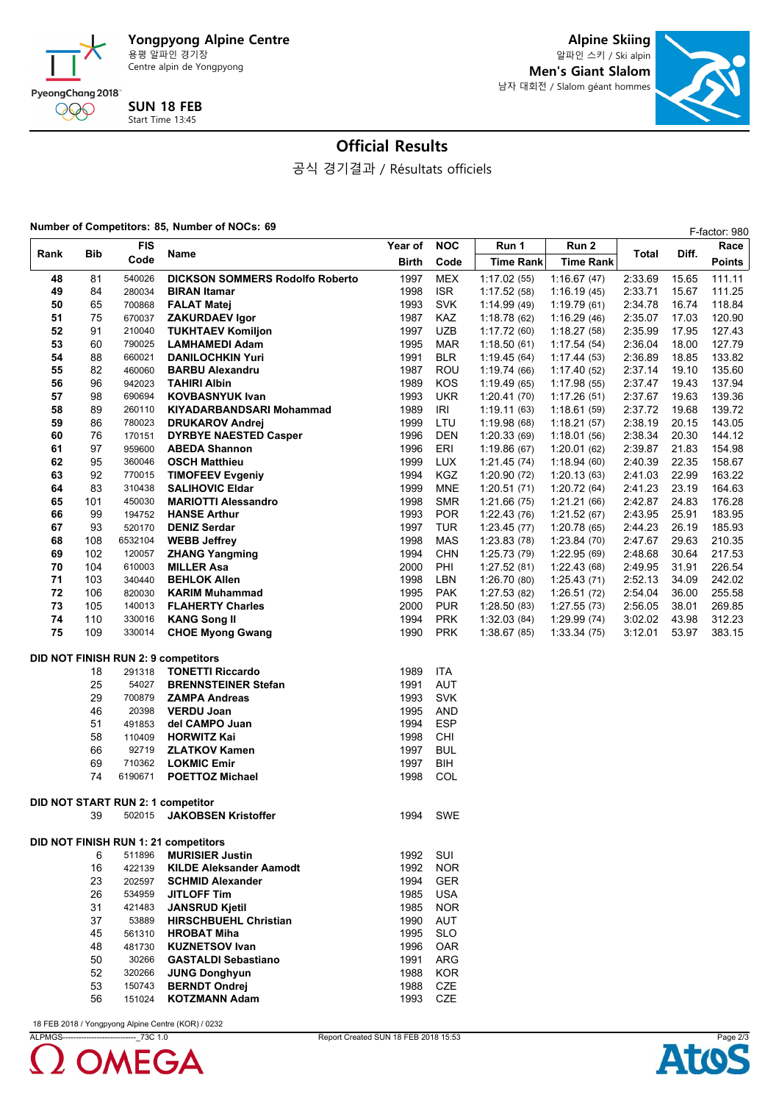

**Alpine Skiing** 알파인 스키 / Ski alpin **Men's Giant Slalom** 남자 대회전 / Slalom géant hommes



# **Official Results**

공식 경기결과 / Résultats officiels

### **Number of Competitors: 85, Number of NOCs: 69 F-factor: 980**

|                                                                                       |          | <b>FIS</b>       |                                                        | Year of      | <b>NOC</b>        | Run 1                      | Run 2                      |                    | Diff.          | Race             |
|---------------------------------------------------------------------------------------|----------|------------------|--------------------------------------------------------|--------------|-------------------|----------------------------|----------------------------|--------------------|----------------|------------------|
| Rank                                                                                  | Bib      | Code             | Name                                                   | Birth        | Code              | <b>Time Rank</b>           | <b>Time Rank</b>           | Total              |                | Points           |
| 48                                                                                    | 81       | 540026           | <b>DICKSON SOMMERS Rodolfo Roberto</b>                 | 1997         | <b>MEX</b>        | 1:17.02 (55)               | 1:16.67(47)                | 2:33.69            | 15.65          | 111.11           |
| 49                                                                                    | 84       | 280034           | <b>BIRAN Itamar</b>                                    | 1998         | ISR.              | 1:17.52 (58)               | 1:16.19(45)                | 2:33.71            | 15.67          | 111.25           |
| 50                                                                                    | 65       | 700868           | <b>FALAT Matej</b>                                     | 1993         | <b>SVK</b>        | 1:14.99(49)                | 1:19.79(61)                | 2:34.78            | 16.74          | 118.84           |
| 51                                                                                    | 75       | 670037           | <b>ZAKURDAEV Igor</b>                                  | 1987         | KAZ               | 1:18.78(62)                | 1:16.29(46)                | 2:35.07            | 17.03          | 120.90           |
| 52                                                                                    | 91       | 210040           | <b>TUKHTAEV Komiljon</b>                               | 1997         | <b>UZB</b>        | 1:17.72(60)                | 1:18.27(58)                | 2:35.99            | 17.95          | 127.43           |
| 53                                                                                    | 60       | 790025           | <b>LAMHAMEDI Adam</b>                                  | 1995         | <b>MAR</b>        | 1:18.50(61)                | 1:17.54(54)                | 2:36.04            | 18.00          | 127.79           |
| 54                                                                                    | 88       | 660021           | <b>DANILOCHKIN Yuri</b>                                | 1991         | <b>BLR</b>        | 1:19.45(64)                | 1:17.44(53)                | 2:36.89            | 18.85          | 133.82           |
| 55                                                                                    | 82       | 460060           | <b>BARBU Alexandru</b>                                 | 1987         | ROU               | 1:19.74(66)                | 1:17.40(52)                | 2:37.14            | 19.10          | 135.60           |
| 56                                                                                    | 96       | 942023           | <b>TAHIRI Albin</b>                                    | 1989         | KOS               | 1:19.49(65)                | 1:17.98(55)                | 2:37.47            | 19.43          | 137.94           |
| 57                                                                                    | 98       | 690694           | <b>KOVBASNYUK Ivan</b>                                 | 1993         | <b>UKR</b>        | 1:20.41(70)                | 1:17.26(51)                | 2:37.67            | 19.63          | 139.36           |
| 58<br>59                                                                              | 89       | 260110           | KIYADARBANDSARI Mohammad                               | 1989         | IRI               | 1:19.11(63)                | 1:18.61(59)                | 2:37.72            | 19.68          | 139.72           |
| 60                                                                                    | 86<br>76 | 780023<br>170151 | <b>DRUKAROV Andrei</b><br><b>DYRBYE NAESTED Casper</b> | 1999<br>1996 | LTU<br><b>DEN</b> | 1:19.98(68)<br>1:20.33(69) | 1:18.21(57)<br>1:18.01(56) | 2:38.19<br>2:38.34 | 20.15<br>20.30 | 143.05<br>144.12 |
| 61                                                                                    | 97       | 959600           | <b>ABEDA Shannon</b>                                   | 1996         | ERI               | 1:19.86(67)                | 1:20.01(62)                | 2:39.87            | 21.83          | 154.98           |
| 62                                                                                    | 95       | 360046           | <b>OSCH Matthieu</b>                                   | 1999         | <b>LUX</b>        | 1:21.45(74)                | 1:18.94(60)                | 2:40.39            | 22.35          | 158.67           |
| 63                                                                                    | 92       | 770015           | <b>TIMOFEEV Evgeniy</b>                                | 1994         | <b>KGZ</b>        | 1:20.90(72)                | 1:20.13(63)                | 2:41.03            | 22.99          | 163.22           |
| 64                                                                                    | 83       | 310438           | <b>SALIHOVIC Eldar</b>                                 | 1999         | <b>MNE</b>        | 1:20.51(71)                | 1:20.72(64)                | 2:41.23            | 23.19          | 164.63           |
| 65                                                                                    | 101      | 450030           | <b>MARIOTTI Alessandro</b>                             | 1998         | <b>SMR</b>        | 1:21.66(75)                | 1:21.21(66)                | 2:42.87            | 24.83          | 176.28           |
| 66                                                                                    | 99       | 194752           | <b>HANSE Arthur</b>                                    | 1993         | <b>POR</b>        | 1:22.43(76)                | 1:21.52(67)                | 2:43.95            | 25.91          | 183.95           |
| 67                                                                                    | 93       | 520170           | <b>DENIZ Serdar</b>                                    | 1997         | <b>TUR</b>        | 1:23.45(77)                | 1:20.78(65)                | 2:44.23            | 26.19          | 185.93           |
| 68                                                                                    | 108      | 6532104          | <b>WEBB Jeffrey</b>                                    | 1998         | MAS               | 1:23.83(78)                | 1:23.84(70)                | 2:47.67            | 29.63          | 210.35           |
| 69                                                                                    | 102      | 120057           | <b>ZHANG Yangming</b>                                  | 1994         | <b>CHN</b>        | 1:25.73(79)                | 1:22.95(69)                | 2:48.68            | 30.64          | 217.53           |
| 70                                                                                    | 104      | 610003           | <b>MILLER Asa</b>                                      | 2000         | PHI               | 1:27.52(81)                | 1:22.43(68)                | 2:49.95            | 31.91          | 226.54           |
| 71                                                                                    | 103      | 340440           | <b>BEHLOK Allen</b>                                    | 1998         | LBN               | 1:26.70(80)                | 1:25.43(71)                | 2:52.13            | 34.09          | 242.02           |
| 72                                                                                    | 106      | 820030           | <b>KARIM Muhammad</b>                                  | 1995         | <b>PAK</b>        | 1:27.53(82)                | 1:26.51(72)                | 2:54.04            | 36.00          | 255.58           |
| 73                                                                                    | 105      | 140013           | <b>FLAHERTY Charles</b>                                | 2000         | <b>PUR</b>        | 1:28.50(83)                | 1:27.55(73)                | 2:56.05            | 38.01          | 269.85           |
| 74                                                                                    | 110      | 330016           | <b>KANG Song II</b>                                    | 1994         | <b>PRK</b>        | 1:32.03(84)                | 1:29.99(74)                | 3:02.02            | 43.98          | 312.23           |
| 75                                                                                    | 109      | 330014           | <b>CHOE Myong Gwang</b>                                | 1990         | <b>PRK</b>        | 1:38.67(85)                | 1:33.34(75)                | 3:12.01            | 53.97          | 383.15           |
|                                                                                       |          |                  |                                                        |              |                   |                            |                            |                    |                |                  |
| <b>DID NOT FINISH RUN 2: 9 competitors</b><br><b>TONETTI Riccardo</b><br>18<br>291318 |          |                  |                                                        |              | <b>ITA</b>        |                            |                            |                    |                |                  |
|                                                                                       | 25       | 54027            | <b>BRENNSTEINER Stefan</b>                             | 1989<br>1991 | AUT               |                            |                            |                    |                |                  |
|                                                                                       | 29       | 700879           | <b>ZAMPA Andreas</b>                                   | 1993         | <b>SVK</b>        |                            |                            |                    |                |                  |
|                                                                                       | 46       | 20398            | <b>VERDU Joan</b>                                      | 1995         | <b>AND</b>        |                            |                            |                    |                |                  |
|                                                                                       | 51       | 491853           | del CAMPO Juan                                         | 1994         | <b>ESP</b>        |                            |                            |                    |                |                  |
|                                                                                       | 58       | 110409           | <b>HORWITZ Kai</b>                                     | 1998         | CHI               |                            |                            |                    |                |                  |
|                                                                                       | 66       | 92719            | <b>ZLATKOV Kamen</b>                                   | 1997         | <b>BUL</b>        |                            |                            |                    |                |                  |
|                                                                                       | 69       | 710362           | <b>LOKMIC Emir</b>                                     | 1997         | BIH               |                            |                            |                    |                |                  |
|                                                                                       | 74       | 6190671          | <b>POETTOZ Michael</b>                                 | 1998         | COL               |                            |                            |                    |                |                  |
|                                                                                       |          |                  | DID NOT START RUN 2: 1 competitor                      |              |                   |                            |                            |                    |                |                  |
|                                                                                       | 39       | 502015           | <b>JAKOBSEN Kristoffer</b>                             | 1994         | SWE               |                            |                            |                    |                |                  |
|                                                                                       |          |                  |                                                        |              |                   |                            |                            |                    |                |                  |
|                                                                                       |          |                  | DID NOT FINISH RUN 1: 21 competitors                   |              |                   |                            |                            |                    |                |                  |
|                                                                                       | 6        | 511896           | <b>MURISIER Justin</b>                                 | 1992         | SUI               |                            |                            |                    |                |                  |
|                                                                                       | 16       | 422139           | <b>KILDE Aleksander Aamodt</b>                         | 1992         | <b>NOR</b>        |                            |                            |                    |                |                  |
|                                                                                       | 23       | 202597           | <b>SCHMID Alexander</b>                                | 1994         | <b>GER</b>        |                            |                            |                    |                |                  |
|                                                                                       | 26       | 534959           | <b>JITLOFF Tim</b>                                     | 1985         | <b>USA</b>        |                            |                            |                    |                |                  |
|                                                                                       | 31       | 421483           | <b>JANSRUD Kjetil</b>                                  | 1985         | <b>NOR</b>        |                            |                            |                    |                |                  |
|                                                                                       | 37       | 53889            | <b>HIRSCHBUEHL Christian</b>                           | 1990         | AUT               |                            |                            |                    |                |                  |
|                                                                                       | 45       | 561310           | <b>HROBAT Miha</b>                                     | 1995         | <b>SLO</b>        |                            |                            |                    |                |                  |
|                                                                                       | 48       | 481730           | <b>KUZNETSOV Ivan</b>                                  | 1996         | OAR               |                            |                            |                    |                |                  |
|                                                                                       | 50       | 30266            | <b>GASTALDI Sebastiano</b>                             | 1991         | ARG               |                            |                            |                    |                |                  |
|                                                                                       | 52       | 320266           | <b>JUNG Donghyun</b>                                   | 1988         | <b>KOR</b>        |                            |                            |                    |                |                  |
|                                                                                       | 53<br>56 | 150743<br>151024 | <b>BERNDT Ondrej</b><br><b>KOTZMANN Adam</b>           | 1988         | CZE               |                            |                            |                    |                |                  |
|                                                                                       |          |                  |                                                        | 1993         | CZE               |                            |                            |                    |                |                  |

18 FEB 2018 / Yongpyong Alpine Centre (KOR) / 0232